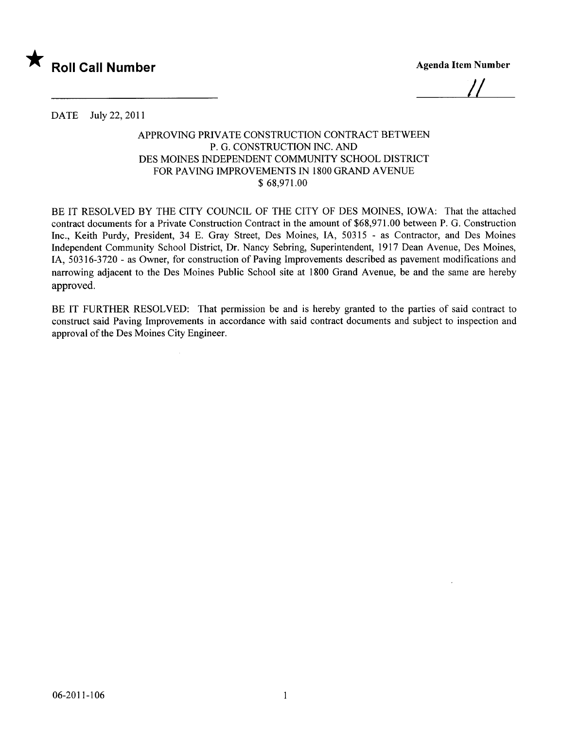

1/

DATE July 22,2011

## APPROVING PRIVATE CONSTRUCTION CONTRACT BETWEEN P. G. CONSTRUCTION INC. AND DES MOINES INDEPENDENT COMMUNITY SCHOOL DISTRICT FOR PAVING IMPROVEMENTS IN 1800 GRAND AVENUE \$ 68,971.00

BE IT RESOLVED BY THE CITY COUNCIL OF THE CITY OF DES MOINES, IOWA: That the attached contract documents for a Private Construction Contract in the amount of \$68,971.00 between P. G. Construction Inc., Keith Purdy, President, 34 E. Gray Street, Des Moines, IA, 50315 - as Contractor, and Des Moines Independent Community School District, Dr. Nancy Sebring, Superintendent, 1917 Dean Avenue, Des Moines, lA, 50316-3720 - as Owner, for construction of Paving Improvements described as pavement modifications and narrowing adjacent to the Des Moines Public School site at 1800 Grand Avenue, be and the same are hereby approved.

BE IT FURTHER RESOLVED: That permission be and is hereby granted to the parties of said contract to construct said Paving Improvements in accordance with said contract documents and subject to inspection and approval of the Des Moines City Engineer.